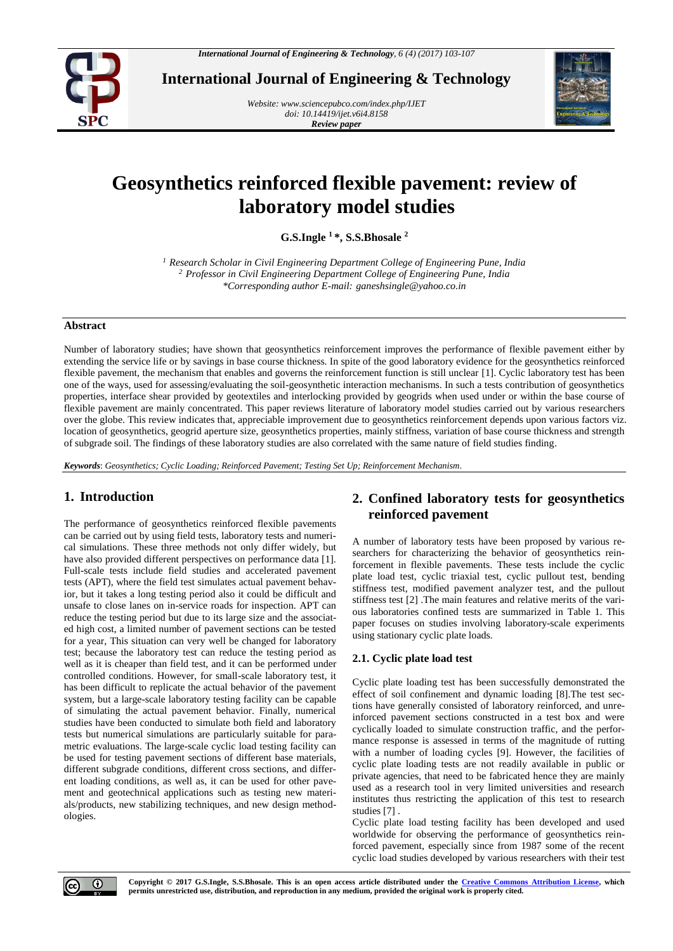

**International Journal of Engineering & Technology**

*Website: [www.sciencepubco.com/index.php/IJET](http://www.sciencepubco.com/index.php/IJET) doi: 10.14419/ijet.v6i4.8158 Review paper*



# **Geosynthetics reinforced flexible pavement: review of laboratory model studies**

**G.S.Ingle <sup>1</sup> \*, S.S.Bhosale <sup>2</sup>**

*<sup>1</sup> Research Scholar in Civil Engineering Department College of Engineering Pune, India <sup>2</sup> Professor in Civil Engineering Department College of Engineering Pune, India \*Corresponding author E-mail: ganeshsingle@yahoo.co.in*

#### **Abstract**

Number of laboratory studies; have shown that geosynthetics reinforcement improves the performance of flexible pavement either by extending the service life or by savings in base course thickness. In spite of the good laboratory evidence for the geosynthetics reinforced flexible pavement, the mechanism that enables and governs the reinforcement function is still unclear [1]. Cyclic laboratory test has been one of the ways, used for assessing/evaluating the soil-geosynthetic interaction mechanisms. In such a tests contribution of geosynthetics properties, interface shear provided by geotextiles and interlocking provided by geogrids when used under or within the base course of flexible pavement are mainly concentrated. This paper reviews literature of laboratory model studies carried out by various researchers over the globe. This review indicates that, appreciable improvement due to geosynthetics reinforcement depends upon various factors viz. location of geosynthetics, geogrid aperture size, geosynthetics properties, mainly stiffness, variation of base course thickness and strength of subgrade soil. The findings of these laboratory studies are also correlated with the same nature of field studies finding.

*Keywords*: *Geosynthetics; Cyclic Loading; Reinforced Pavement; Testing Set Up; Reinforcement Mechanism.*

# **1. Introduction**

The performance of geosynthetics reinforced flexible pavements can be carried out by using field tests, laboratory tests and numerical simulations. These three methods not only differ widely, but have also provided different perspectives on performance data [1]. Full-scale tests include field studies and accelerated pavement tests (APT), where the field test simulates actual pavement behavior, but it takes a long testing period also it could be difficult and unsafe to close lanes on in-service roads for inspection. APT can reduce the testing period but due to its large size and the associated high cost, a limited number of pavement sections can be tested for a year, This situation can very well be changed for laboratory test; because the laboratory test can reduce the testing period as well as it is cheaper than field test, and it can be performed under controlled conditions. However, for small-scale laboratory test, it has been difficult to replicate the actual behavior of the pavement system, but a large-scale laboratory testing facility can be capable of simulating the actual pavement behavior. Finally, numerical studies have been conducted to simulate both field and laboratory tests but numerical simulations are particularly suitable for parametric evaluations. The large-scale cyclic load testing facility can be used for testing pavement sections of different base materials, different subgrade conditions, different cross sections, and different loading conditions, as well as, it can be used for other pavement and geotechnical applications such as testing new materials/products, new stabilizing techniques, and new design methodologies.

# **2. Confined laboratory tests for geosynthetics reinforced pavement**

A number of laboratory tests have been proposed by various researchers for characterizing the behavior of geosynthetics reinforcement in flexible pavements. These tests include the cyclic plate load test, cyclic triaxial test, cyclic pullout test, bending stiffness test, modified pavement analyzer test, and the pullout stiffness test [2] .The main features and relative merits of the various laboratories confined tests are summarized in Table 1. This paper focuses on studies involving laboratory-scale experiments using stationary cyclic plate loads.

## **2.1. Cyclic plate load test**

Cyclic plate loading test has been successfully demonstrated the effect of soil confinement and dynamic loading [8].The test sections have generally consisted of laboratory reinforced, and unreinforced pavement sections constructed in a test box and were cyclically loaded to simulate construction traffic, and the performance response is assessed in terms of the magnitude of rutting with a number of loading cycles [9]. However, the facilities of cyclic plate loading tests are not readily available in public or private agencies, that need to be fabricated hence they are mainly used as a research tool in very limited universities and research institutes thus restricting the application of this test to research studies [7] .

Cyclic plate load testing facility has been developed and used worldwide for observing the performance of geosynthetics reinforced pavement, especially since from 1987 some of the recent cyclic load studies developed by various researchers with their test



**Copyright © 2017 G.S.Ingle, S.S.Bhosale. This is an open access article distributed under the [Creative Commons Attribution License,](http://creativecommons.org/licenses/by/3.0/) which permits unrestricted use, distribution, and reproduction in any medium, provided the original work is properly cited.**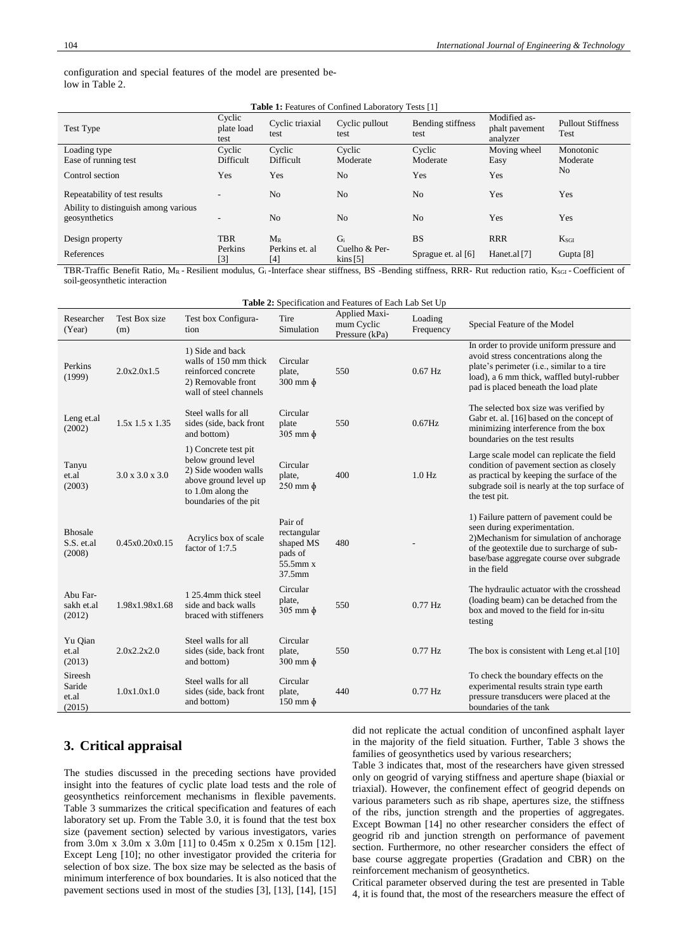configuration and special features of the model are presented below in Table 2.

| <b>Table 1:</b> Features of Confined Laboratory Tests [1] |                              |                         |                                         |                           |                                            |                                  |  |
|-----------------------------------------------------------|------------------------------|-------------------------|-----------------------------------------|---------------------------|--------------------------------------------|----------------------------------|--|
| Test Type                                                 | Cyclic<br>plate load<br>test | Cyclic triaxial<br>test | Cyclic pullout<br>test                  | Bending stiffness<br>test | Modified as-<br>phalt payement<br>analyzer | <b>Pullout Stiffness</b><br>Test |  |
| Loading type                                              | Cyclic                       | Cyclic                  | Cyclic                                  | Cyclic                    | Moving wheel                               | Monotonic                        |  |
| Ease of running test                                      | Difficult                    | Difficult               | Moderate                                | Moderate                  | Easy                                       | Moderate                         |  |
| Control section                                           | Yes                          | Yes                     | No.                                     | Yes                       | Yes                                        | No                               |  |
| Repeatability of test results                             |                              | N <sub>o</sub>          | No.                                     | N <sub>o</sub>            | Yes                                        | Yes                              |  |
| Ability to distinguish among various<br>geosynthetics     |                              | N <sub>o</sub>          | N <sub>o</sub>                          | N <sub>o</sub>            | Yes                                        | Yes                              |  |
| Design property                                           | <b>TBR</b>                   | $M_{R}$                 | $G_i$                                   | <b>BS</b>                 | <b>RRR</b>                                 | $K_{SGI}$                        |  |
| References                                                | Perkins<br>[3]               | Perkins et. al<br>[4]   | Cuelho & Per-<br>$\frac{1}{2}$ kins [5] | Sprague et. al [6]        | Hanet.al [7]                               | Gupta $[8]$                      |  |

TBR-Traffic Benefit Ratio, MR - Resilient modulus, G<sub>i</sub>-Interface shear stiffness, BS -Bending stiffness, RRR- Rut reduction ratio, K<sub>SGI</sub> - Coefficient of soil-geosynthetic interaction

| Table 2: Specification and Features of Each Lab Set Up |                             |                                                                                                                                           |                                                                         |                                                      |                      |                                                                                                                                                                                                                               |  |
|--------------------------------------------------------|-----------------------------|-------------------------------------------------------------------------------------------------------------------------------------------|-------------------------------------------------------------------------|------------------------------------------------------|----------------------|-------------------------------------------------------------------------------------------------------------------------------------------------------------------------------------------------------------------------------|--|
| Researcher<br>(Year)                                   | Test Box size<br>(m)        | Test box Configura-<br>tion                                                                                                               | Tire<br>Simulation                                                      | <b>Applied Maxi-</b><br>mum Cyclic<br>Pressure (kPa) | Loading<br>Frequency | Special Feature of the Model                                                                                                                                                                                                  |  |
| Perkins<br>(1999)                                      | 2.0x2.0x1.5                 | 1) Side and back<br>walls of 150 mm thick<br>reinforced concrete<br>2) Removable front<br>wall of steel channels                          | Circular<br>plate,<br>$300 \text{ mm} \phi$                             | 550                                                  | $0.67$ Hz            | In order to provide uniform pressure and<br>avoid stress concentrations along the<br>plate's perimeter (i.e., similar to a tire<br>load), a 6 mm thick, waffled butyl-rubber<br>pad is placed beneath the load plate          |  |
| Leng et.al<br>(2002)                                   | $1.5x$ 1.5 $x$ 1.35         | Steel walls for all<br>sides (side, back front<br>and bottom)                                                                             | Circular<br>plate<br>$305$ mm $\phi$                                    | 550                                                  | $0.67$ Hz            | The selected box size was verified by<br>Gabr et. al. [16] based on the concept of<br>minimizing interference from the box<br>boundaries on the test results                                                                  |  |
| Tanyu<br>et.al<br>(2003)                               | $3.0 \times 3.0 \times 3.0$ | 1) Concrete test pit<br>below ground level<br>2) Side wooden walls<br>above ground level up<br>to 1.0m along the<br>boundaries of the pit | Circular<br>plate,<br>$250$ mm $\phi$                                   | 400                                                  | $1.0$ Hz             | Large scale model can replicate the field<br>condition of pavement section as closely<br>as practical by keeping the surface of the<br>subgrade soil is nearly at the top surface of<br>the test pit.                         |  |
| <b>Bhosale</b><br>S.S. et.al<br>(2008)                 | 0.45x0.20x0.15              | Acrylics box of scale<br>factor of 1:7.5                                                                                                  | Pair of<br>rectangular<br>shaped MS<br>pads of<br>$55.5$ mm x<br>37.5mm | 480                                                  |                      | 1) Failure pattern of pavement could be<br>seen during experimentation.<br>2) Mechanism for simulation of anchorage<br>of the geotextile due to surcharge of sub-<br>base/base aggregate course over subgrade<br>in the field |  |
| Abu Far-<br>sakh et.al<br>(2012)                       | 1.98x1.98x1.68              | 1 25.4mm thick steel<br>side and back walls<br>braced with stiffeners                                                                     | Circular<br>plate,<br>$305$ mm $\phi$                                   | 550                                                  | $0.77$ Hz            | The hydraulic actuator with the crosshead<br>(loading beam) can be detached from the<br>box and moved to the field for in-situ<br>testing                                                                                     |  |
| Yu Qian<br>et.al<br>(2013)                             | 2.0x2.2x2.0                 | Steel walls for all<br>sides (side, back front<br>and bottom)                                                                             | Circular<br>plate,<br>$300 \text{ mm} \phi$                             | 550                                                  | $0.77$ Hz            | The box is consistent with Leng et.al [10]                                                                                                                                                                                    |  |
| Sireesh<br>Saride<br>et.al<br>(2015)                   | 1.0x1.0x1.0                 | Steel walls for all<br>sides (side, back front<br>and bottom)                                                                             | Circular<br>plate,<br>$150 \text{ mm} \phi$                             | 440                                                  | $0.77$ Hz            | To check the boundary effects on the<br>experimental results strain type earth<br>pressure transducers were placed at the<br>boundaries of the tank                                                                           |  |

# **3. Critical appraisal**

The studies discussed in the preceding sections have provided insight into the features of cyclic plate load tests and the role of geosynthetics reinforcement mechanisms in flexible pavements. Table 3 summarizes the critical specification and features of each laboratory set up. From the Table 3.0, it is found that the test box size (pavement section) selected by various investigators, varies from 3.0m x 3.0m x 3.0m [11] to 0.45m x 0.25m x 0.15m [12]. Except Leng [10]; no other investigator provided the criteria for selection of box size. The box size may be selected as the basis of minimum interference of box boundaries. It is also noticed that the pavement sections used in most of the studies [3], [13], [14], [15] did not replicate the actual condition of unconfined asphalt layer in the majority of the field situation. Further, Table 3 shows the families of geosynthetics used by various researchers;

Table 3 indicates that, most of the researchers have given stressed only on geogrid of varying stiffness and aperture shape (biaxial or triaxial). However, the confinement effect of geogrid depends on various parameters such as rib shape, apertures size, the stiffness of the ribs, junction strength and the properties of aggregates. Except Bowman [14] no other researcher considers the effect of geogrid rib and junction strength on performance of pavement section. Furthermore, no other researcher considers the effect of base course aggregate properties (Gradation and CBR) on the reinforcement mechanism of geosynthetics.

Critical parameter observed during the test are presented in Table 4, it is found that, the most of the researchers measure the effect of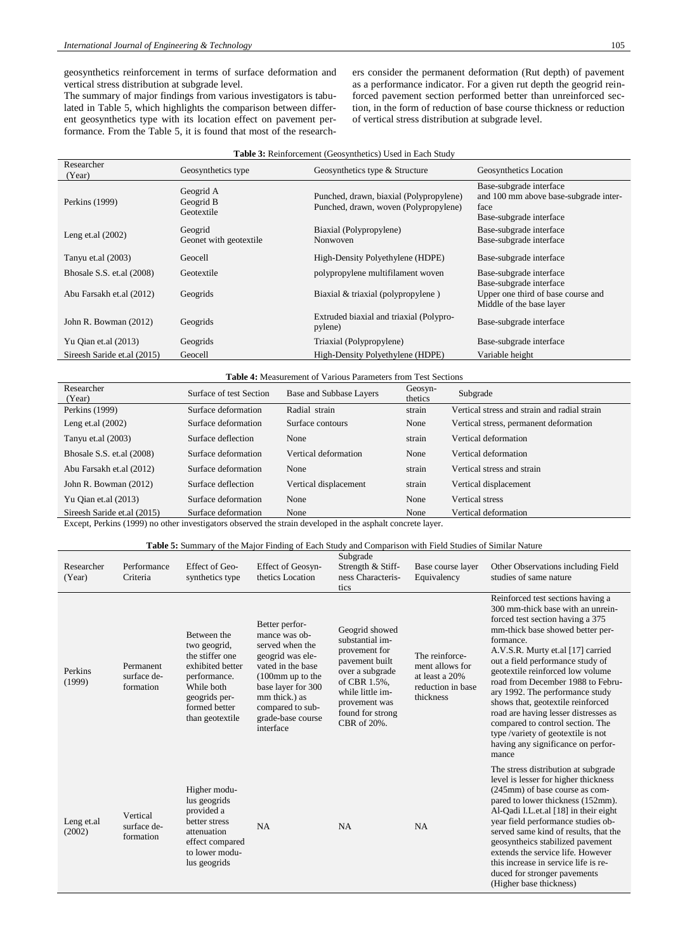geosynthetics reinforcement in terms of surface deformation and vertical stress distribution at subgrade level.

The summary of major findings from various investigators is tabulated in Table 5, which highlights the comparison between different geosynthetics type with its location effect on pavement performance. From the Table 5, it is found that most of the researchers consider the permanent deformation (Rut depth) of pavement as a performance indicator. For a given rut depth the geogrid reinforced pavement section performed better than unreinforced section, in the form of reduction of base course thickness or reduction of vertical stress distribution at subgrade level.

| <b>Table 3:</b> Reinforcement (Geosynthetics) Used in Each Study |  |  |  |  |  |
|------------------------------------------------------------------|--|--|--|--|--|
|------------------------------------------------------------------|--|--|--|--|--|

| Researcher<br>(Year)        | Geosynthetics type                   | Geosynthetics type & Structure                                                   | Geosynthetics Location                                                                              |
|-----------------------------|--------------------------------------|----------------------------------------------------------------------------------|-----------------------------------------------------------------------------------------------------|
| Perkins (1999)              | Geogrid A<br>Geogrid B<br>Geotextile | Punched, drawn, biaxial (Polypropylene)<br>Punched, drawn, woven (Polypropylene) | Base-subgrade interface<br>and 100 mm above base-subgrade inter-<br>face<br>Base-subgrade interface |
| Leng et.al $(2002)$         | Geogrid<br>Geonet with geotextile    | Biaxial (Polypropylene)<br>Nonwoven                                              | Base-subgrade interface<br>Base-subgrade interface                                                  |
| Tanyu et.al (2003)          | Geocell                              | High-Density Polyethylene (HDPE)                                                 | Base-subgrade interface                                                                             |
| Bhosale S.S. et.al (2008)   | Geotextile                           | polypropylene multifilament woven                                                | Base-subgrade interface                                                                             |
| Abu Farsakh et.al (2012)    | Geogrids                             | Biaxial & triaxial (polypropylene)                                               | Base-subgrade interface<br>Upper one third of base course and<br>Middle of the base layer           |
| John R. Bowman (2012)       | Geogrids                             | Extruded biaxial and triaxial (Polypro-<br>pylene)                               | Base-subgrade interface                                                                             |
| Yu Qian et.al $(2013)$      | Geogrids                             | Triaxial (Polypropylene)                                                         | Base-subgrade interface                                                                             |
| Sireesh Saride et.al (2015) | Geocell                              | High-Density Polyethylene (HDPE)                                                 | Variable height                                                                                     |

#### **Table 4:** Measurement of Various Parameters from Test Sections

| Researcher<br>(Year)        | Surface of test Section | Base and Subbase Layers | Geosyn-<br>thetics | Subgrade                                     |
|-----------------------------|-------------------------|-------------------------|--------------------|----------------------------------------------|
| Perkins (1999)              | Surface deformation     | Radial strain           | strain             | Vertical stress and strain and radial strain |
| Leng et.al $(2002)$         | Surface deformation     | Surface contours        | None               | Vertical stress, permanent deformation       |
| Tanyu et.al $(2003)$        | Surface deflection      | None                    | strain             | Vertical deformation                         |
| Bhosale S.S. et.al $(2008)$ | Surface deformation     | Vertical deformation    | None               | Vertical deformation                         |
| Abu Farsakh et.al (2012)    | Surface deformation     | None                    | strain             | Vertical stress and strain                   |
| John R. Bowman (2012)       | Surface deflection      | Vertical displacement   | strain             | Vertical displacement                        |
| Yu Oian et.al $(2013)$      | Surface deformation     | None                    | None               | <b>Vertical stress</b>                       |
| Sireesh Saride et.al (2015) | Surface deformation     | None                    | None               | Vertical deformation                         |

Except, Perkins (1999) no other investigators observed the strain developed in the asphalt concrete layer.

#### **Table 5:** Summary of the Major Finding of Each Study and Comparison with Field Studies of Similar Nature

| Researcher<br>(Year) | Performance<br>Criteria               | Effect of Geo-<br>synthetics type                                                                                                                     | <b>Effect of Geosyn-</b><br>thetics Location                                                                                                                                                                                    | Subgrade<br>Strength & Stiff-<br>ness Characteris-<br>tics                                                                                                                      | Base course layer<br>Equivalency                                                      | Other Observations including Field<br>studies of same nature                                                                                                                                                                                                                                                                                                                                                                                                                                                                                           |
|----------------------|---------------------------------------|-------------------------------------------------------------------------------------------------------------------------------------------------------|---------------------------------------------------------------------------------------------------------------------------------------------------------------------------------------------------------------------------------|---------------------------------------------------------------------------------------------------------------------------------------------------------------------------------|---------------------------------------------------------------------------------------|--------------------------------------------------------------------------------------------------------------------------------------------------------------------------------------------------------------------------------------------------------------------------------------------------------------------------------------------------------------------------------------------------------------------------------------------------------------------------------------------------------------------------------------------------------|
| Perkins<br>(1999)    | Permanent<br>surface de-<br>formation | Between the<br>two geogrid,<br>the stiffer one<br>exhibited better<br>performance.<br>While both<br>geogrids per-<br>formed better<br>than geotextile | Better perfor-<br>mance was ob-<br>served when the<br>geogrid was ele-<br>vated in the base<br>$(100 \text{mm} \text{ up to the})$<br>base layer for 300<br>mm thick.) as<br>compared to sub-<br>grade-base course<br>interface | Geogrid showed<br>substantial im-<br>provement for<br>pavement built<br>over a subgrade<br>of CBR 1.5%,<br>while little im-<br>provement was<br>found for strong<br>CBR of 20%. | The reinforce-<br>ment allows for<br>at least a 20%<br>reduction in base<br>thickness | Reinforced test sections having a<br>300 mm-thick base with an unrein-<br>forced test section having a 375<br>mm-thick base showed better per-<br>formance.<br>A.V.S.R. Murty et.al [17] carried<br>out a field performance study of<br>geotextile reinforced low volume<br>road from December 1988 to Febru-<br>ary 1992. The performance study<br>shows that, geotextile reinforced<br>road are having lesser distresses as<br>compared to control section. The<br>type /variety of geotextile is not<br>having any significance on perfor-<br>mance |
| Leng et.al<br>(2002) | Vertical<br>surface de-<br>formation  | Higher modu-<br>lus geogrids<br>provided a<br>better stress<br>attenuation<br>effect compared<br>to lower modu-<br>lus geogrids                       | NA                                                                                                                                                                                                                              | NA                                                                                                                                                                              | <b>NA</b>                                                                             | The stress distribution at subgrade<br>level is lesser for higher thickness<br>(245mm) of base course as com-<br>pared to lower thickness (152mm).<br>Al-Qadi I.L.et.al [18] in their eight<br>year field performance studies ob-<br>served same kind of results, that the<br>geosyntheics stabilized pavement<br>extends the service life. However<br>this increase in service life is re-<br>duced for stronger pavements<br>(Higher base thickness)                                                                                                 |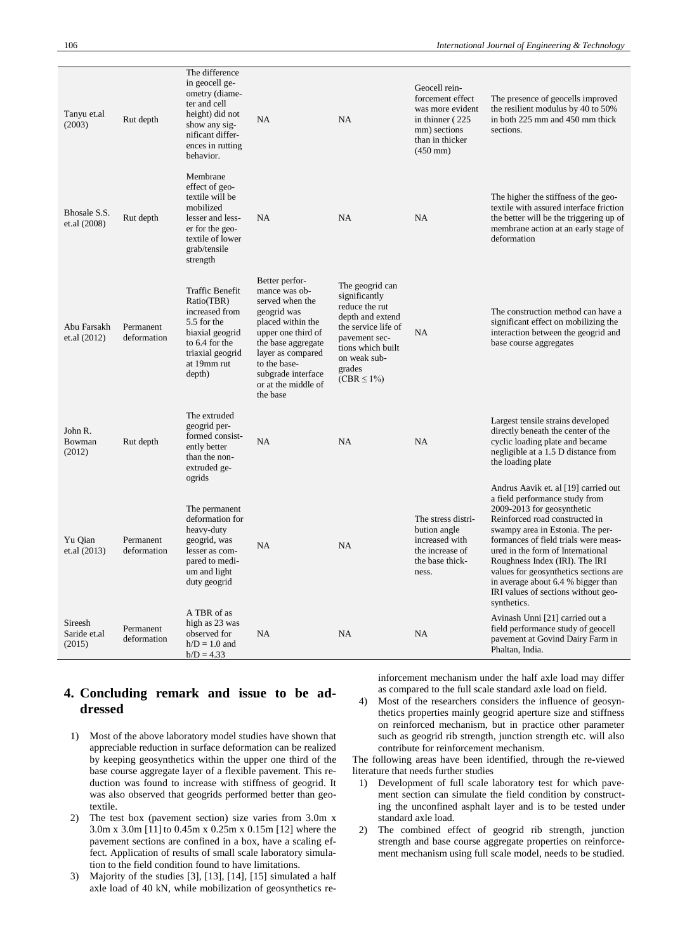| Tanyu et.al<br>(2003)             | Rut depth                | The difference<br>in geocell ge-<br>ometry (diame-<br>ter and cell<br>height) did not<br>show any sig-<br>nificant differ-<br>ences in rutting<br>behavior. | NA                                                                                                                                                                                                                               | NA                                                                                                                                                                                | Geocell rein-<br>forcement effect<br>was more evident<br>in thinner (225)<br>mm) sections<br>than in thicker<br>$(450 \text{ mm})$ | The presence of geocells improved<br>the resilient modulus by 40 to 50%<br>in both 225 mm and 450 mm thick<br>sections.                                                                                                                                                                                                                                                                                                         |
|-----------------------------------|--------------------------|-------------------------------------------------------------------------------------------------------------------------------------------------------------|----------------------------------------------------------------------------------------------------------------------------------------------------------------------------------------------------------------------------------|-----------------------------------------------------------------------------------------------------------------------------------------------------------------------------------|------------------------------------------------------------------------------------------------------------------------------------|---------------------------------------------------------------------------------------------------------------------------------------------------------------------------------------------------------------------------------------------------------------------------------------------------------------------------------------------------------------------------------------------------------------------------------|
| Bhosale S.S.<br>et.al (2008)      | Rut depth                | Membrane<br>effect of geo-<br>textile will be<br>mobilized<br>lesser and less-<br>er for the geo-<br>textile of lower<br>grab/tensile<br>strength           | <b>NA</b>                                                                                                                                                                                                                        | <b>NA</b>                                                                                                                                                                         | NA                                                                                                                                 | The higher the stiffness of the geo-<br>textile with assured interface friction<br>the better will be the triggering up of<br>membrane action at an early stage of<br>deformation                                                                                                                                                                                                                                               |
| Abu Farsakh<br>et.al (2012)       | Permanent<br>deformation | Traffic Benefit<br>Ratio(TBR)<br>increased from<br>5.5 for the<br>biaxial geogrid<br>to 6.4 for the<br>triaxial geogrid<br>at 19mm rut<br>depth)            | Better perfor-<br>mance was ob-<br>served when the<br>geogrid was<br>placed within the<br>upper one third of<br>the base aggregate<br>layer as compared<br>to the base-<br>subgrade interface<br>or at the middle of<br>the base | The geogrid can<br>significantly<br>reduce the rut<br>depth and extend<br>the service life of<br>pavement sec-<br>tions which built<br>on weak sub-<br>grades<br>$(CBR \leq 1\%)$ | <b>NA</b>                                                                                                                          | The construction method can have a<br>significant effect on mobilizing the<br>interaction between the geogrid and<br>base course aggregates                                                                                                                                                                                                                                                                                     |
| John R.<br>Bowman<br>(2012)       | Rut depth                | The extruded<br>geogrid per-<br>formed consist-<br>ently better<br>than the non-<br>extruded ge-<br>ogrids                                                  | <b>NA</b>                                                                                                                                                                                                                        | NA                                                                                                                                                                                | <b>NA</b>                                                                                                                          | Largest tensile strains developed<br>directly beneath the center of the<br>cyclic loading plate and became<br>negligible at a 1.5 D distance from<br>the loading plate                                                                                                                                                                                                                                                          |
| Yu Qian<br>et.al (2013)           | Permanent<br>deformation | The permanent<br>deformation for<br>heavy-duty<br>geogrid, was<br>lesser as com-<br>pared to medi-<br>um and light<br>duty geogrid                          | NA                                                                                                                                                                                                                               | <b>NA</b>                                                                                                                                                                         | The stress distri-<br>bution angle<br>increased with<br>the increase of<br>the base thick-<br>ness.                                | Andrus Aavik et. al [19] carried out<br>a field performance study from<br>2009-2013 for geosynthetic<br>Reinforced road constructed in<br>swampy area in Estonia. The per-<br>formances of field trials were meas-<br>ured in the form of International<br>Roughness Index (IRI). The IRI<br>values for geosynthetics sections are.<br>in average about 6.4 % bigger than<br>IRI values of sections without geo-<br>synthetics. |
| Sireesh<br>Saride et.al<br>(2015) | Permanent<br>deformation | A TBR of as<br>high as 23 was<br>observed for<br>$h/D = 1.0$ and<br>$b/D = 4.33$                                                                            | NA.                                                                                                                                                                                                                              | NA                                                                                                                                                                                | NA                                                                                                                                 | Avinash Unni [21] carried out a<br>field performance study of geocell<br>pavement at Govind Dairy Farm in<br>Phaltan, India.                                                                                                                                                                                                                                                                                                    |

## **4. Concluding remark and issue to be addressed**

- 1) Most of the above laboratory model studies have shown that appreciable reduction in surface deformation can be realized by keeping geosynthetics within the upper one third of the base course aggregate layer of a flexible pavement. This reduction was found to increase with stiffness of geogrid. It was also observed that geogrids performed better than geotextile.
- 2) The test box (pavement section) size varies from 3.0m x 3.0m x 3.0m [11] to 0.45m x 0.25m x 0.15m [12] where the pavement sections are confined in a box, have a scaling effect. Application of results of small scale laboratory simulation to the field condition found to have limitations.
- 3) Majority of the studies [3], [13], [14], [15] simulated a half axle load of 40 kN, while mobilization of geosynthetics re-

inforcement mechanism under the half axle load may differ as compared to the full scale standard axle load on field.

4) Most of the researchers considers the influence of geosynthetics properties mainly geogrid aperture size and stiffness on reinforced mechanism, but in practice other parameter such as geogrid rib strength, junction strength etc. will also contribute for reinforcement mechanism.

The following areas have been identified, through the re-viewed literature that needs further studies

- 1) Development of full scale laboratory test for which pavement section can simulate the field condition by constructing the unconfined asphalt layer and is to be tested under standard axle load.
- 2) The combined effect of geogrid rib strength, junction strength and base course aggregate properties on reinforcement mechanism using full scale model, needs to be studied.